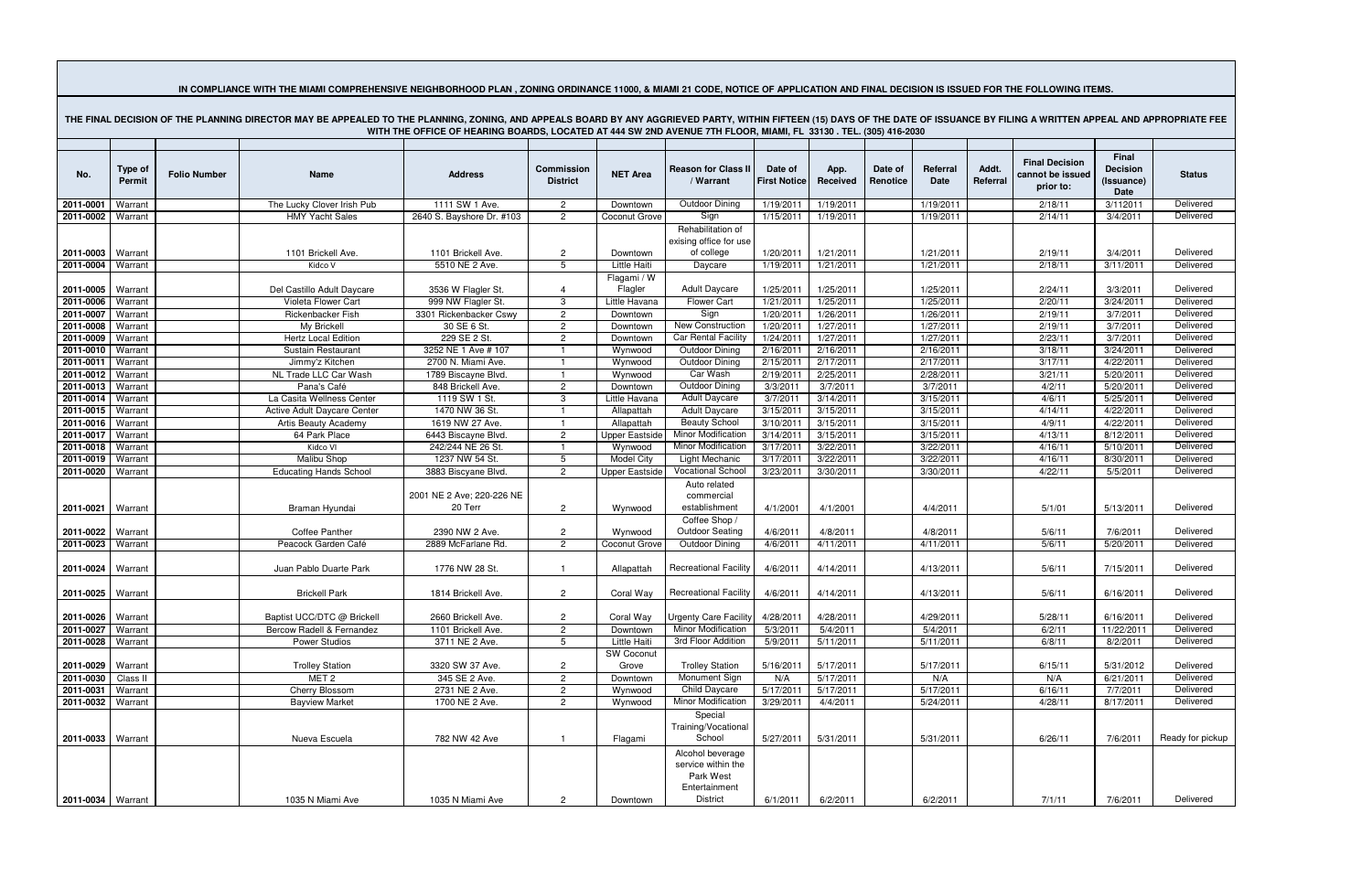## IN COMPLIANCE WITH THE MIAMI COMPREHENSIVE NEIGHBORHOOD PLAN, ZONING ORDINANCE 11000, & MIAMI 21 CODE, NOTICE OF APPLICATION AND FINAL DECISION IS ISSUED FOR THE FOLLOWING ITEMS.

| WITH THE OFFICE OF HEARING BOARDS, LOCATED AT 444 SW 2ND AVENUE 7TH FLOOR, MIAMI, FL 33130 . TEL. (305) 416-2030 |                          |                     |                                            |                                           |                                      |                                   |                                                                                  |                                |                        |                     |                        |                   |                                                        |                                                |                        |
|------------------------------------------------------------------------------------------------------------------|--------------------------|---------------------|--------------------------------------------|-------------------------------------------|--------------------------------------|-----------------------------------|----------------------------------------------------------------------------------|--------------------------------|------------------------|---------------------|------------------------|-------------------|--------------------------------------------------------|------------------------------------------------|------------------------|
| No.                                                                                                              | <b>Type of</b><br>Permit | <b>Folio Number</b> | <b>Name</b>                                | <b>Address</b>                            | <b>Commission</b><br><b>District</b> | <b>NET Area</b>                   | <b>Reason for Class II</b><br>/ Warrant                                          | Date of<br><b>First Notice</b> | App.<br>Received       | Date of<br>Renotice | Referral<br>Date       | Addt.<br>Referral | <b>Final Decision</b><br>cannot be issued<br>prior to: | Final<br><b>Decision</b><br>(Issuance)<br>Date | <b>Status</b>          |
| 2011-0001                                                                                                        | Warrant                  |                     | The Lucky Clover Irish Pub                 | 1111 SW 1 Ave.                            | $\overline{2}$                       | Downtown                          | <b>Outdoor Dining</b>                                                            | 1/19/2011                      | 1/19/2011              |                     | 1/19/2011              |                   | 2/18/11                                                | 3/112011                                       | Delivered              |
| 2011-0002                                                                                                        | Warrant                  |                     | <b>HMY Yacht Sales</b>                     | 2640 S. Bayshore Dr. #103                 | $\overline{2}$                       | Coconut Grove                     | Sign                                                                             | 1/15/2011                      | 1/19/2011              |                     | 1/19/2011              |                   | 2/14/11                                                | 3/4/2011                                       | Delivered              |
|                                                                                                                  |                          |                     |                                            |                                           |                                      |                                   | Rehabilitation of<br>exising office for use                                      |                                |                        |                     |                        |                   |                                                        |                                                |                        |
| 2011-0003 Warrant                                                                                                |                          |                     | 1101 Brickell Ave.                         | 1101 Brickell Ave.                        | $\overline{c}$                       | Downtown                          | of college                                                                       | 1/20/2011                      | 1/21/2011              |                     | 1/21/2011              |                   | 2/19/11                                                | 3/4/2011                                       | Delivered              |
| 2011-0004                                                                                                        | Warrant                  |                     | Kidco V                                    | 5510 NE 2 Ave.                            | 5                                    | Little Haiti                      | Daycare                                                                          | 1/19/2011                      | 1/21/2011              |                     | 1/21/2011              |                   | 2/18/11                                                | 3/11/2011                                      | Delivered              |
| 2011-0005                                                                                                        | Warrant                  |                     | Del Castillo Adult Daycare                 | 3536 W Flagler St.                        | $\overline{4}$                       | Flagami / W<br>Flagler            | Adult Daycare                                                                    | 1/25/2011                      | 1/25/2011              |                     | 1/25/2011              |                   | 2/24/11                                                | 3/3/2011                                       | Delivered              |
| 2011-0006                                                                                                        | Warrant                  |                     | Violeta Flower Cart                        | 999 NW Flagler St.                        | $\mathbf{3}$                         | Little Havana                     | <b>Flower Cart</b>                                                               | 1/21/2011                      | 1/25/2011              |                     | 1/25/2011              |                   | 2/20/11                                                | 3/24/2011                                      | Delivered              |
| 2011-0007                                                                                                        | Warrant                  |                     | Rickenbacker Fish                          | 3301 Rickenbacker Cswy                    | $\overline{2}$                       | Downtown                          | Sign                                                                             | 1/20/2011                      | 1/26/2011              |                     | 1/26/2011              |                   | 2/19/11                                                | 3/7/2011                                       | Delivered              |
| 2011-0008                                                                                                        | Warrant                  |                     | My Brickell                                | 30 SE 6 St.                               | $\overline{2}$                       | Downtown                          | New Construction                                                                 | 1/20/2011                      | 1/27/2011              |                     | 1/27/2011              |                   | 2/19/11                                                | 3/7/2011                                       | Delivered              |
| 2011-0009                                                                                                        | Warrant                  |                     | <b>Hertz Local Edition</b>                 | 229 SE 2 St.                              | $\overline{2}$                       | Downtown                          | <b>Car Rental Facility</b>                                                       | 1/24/2011                      | 1/27/2011              |                     | 1/27/2011              |                   | 2/23/11                                                | 3/7/2011                                       | Delivered              |
| 2011-0010                                                                                                        | Warrant                  |                     | Sustain Restaurant                         | 3252 NE 1 Ave # 107                       |                                      | Wynwood                           | Outdoor Dining<br><b>Outdoor Dining</b>                                          | 2/16/2011                      | 2/16/2011              |                     | 2/16/2011              |                   | 3/18/11                                                | 3/24/2011                                      | Delivered<br>Delivered |
| 2011-0011<br>2011-0012                                                                                           | Warrant<br>Warrant       |                     | Jimmy'z Kitchen<br>NL Trade LLC Car Wash   | 2700 N. Miami Ave.<br>1789 Biscayne Blvd. |                                      | Wynwood<br>Wynwood                | Car Wash                                                                         | 2/15/2011<br>2/19/2011         | 2/17/2011<br>2/25/2011 |                     | 2/17/2011<br>2/28/2011 |                   | 3/17/11<br>3/21/11                                     | 4/22/2011<br>5/20/2011                         | Delivered              |
| 2011-0013                                                                                                        | Warrant                  |                     | Pana's Café                                | 848 Brickell Ave.                         | $\mathbf{2}$                         | Downtown                          | <b>Outdoor Dining</b>                                                            | 3/3/2011                       | 3/7/2011               |                     | 3/7/2011               |                   | 4/2/11                                                 | 5/20/2011                                      | Delivered              |
| 2011-0014                                                                                                        | Warrant                  |                     | La Casita Wellness Center                  | 1119 SW 1 St.                             | 3                                    | Little Havana                     | <b>Adult Daycare</b>                                                             | 3/7/2011                       | 3/14/2011              |                     | 3/15/2011              |                   | 4/6/11                                                 | 5/25/2011                                      | Delivered              |
| 2011-0015                                                                                                        | Warrant                  |                     | Active Adult Daycare Center                | 1470 NW 36 St.                            |                                      | Allapattah                        | <b>Adult Daycare</b>                                                             | 3/15/2011                      | 3/15/2011              |                     | 3/15/2011              |                   | 4/14/11                                                | 4/22/2011                                      | Delivered              |
| 2011-0016                                                                                                        | Warrant                  |                     | Artis Beauty Academy                       | 1619 NW 27 Ave.                           |                                      | Allapattah                        | <b>Beauty School</b>                                                             | 3/10/2011                      | 3/15/2011              |                     | 3/15/2011              |                   | 4/9/11                                                 | 4/22/2011                                      | Delivered              |
| 2011-0017                                                                                                        | Warrant                  |                     | 64 Park Place                              | 6443 Biscayne Blvd.                       | $\overline{2}$                       | <b>Upper Eastsic</b>              | <b>Minor Modification</b>                                                        | 3/14/2011                      | 3/15/2011              |                     | 3/15/2011              |                   | 4/13/11                                                | 8/12/2011                                      | Delivered              |
| 2011-0018                                                                                                        | Warrant                  |                     | Kidco VI                                   | 242/244 NE 26 St.                         |                                      | Wynwood                           | Minor Modification                                                               | 3/17/2011                      | 3/22/2011              |                     | 3/22/2011              |                   | 4/16/11                                                | 5/10/2011                                      | Delivered              |
| 2011-0019                                                                                                        | Warrant                  |                     | Malibu Shop                                | 1237 NW 54 St.                            | 5                                    | <b>Model City</b>                 | Light Mechanic                                                                   | 3/17/2011                      | 3/22/2011              |                     | 3/22/2011              |                   | 4/16/11                                                | 8/30/2011                                      | Delivered              |
| 2011-0020                                                                                                        | Warrant                  |                     | <b>Educating Hands School</b>              | 3883 Biscyane Blvd.                       | $\overline{c}$                       | <b>Upper Eastside</b>             | <b>Vocational School</b>                                                         | 3/23/2011                      | 3/30/2011              |                     | 3/30/2011              |                   | 4/22/11                                                | 5/5/2011                                       | Delivered              |
| 2011-0021   Warrant                                                                                              |                          |                     | Braman Hyundai                             | 2001 NE 2 Ave; 220-226 NE<br>20 Terr      | $\mathbf{2}$                         | Wynwood                           | Auto related<br>commercial<br>establishment                                      | 4/1/2001                       | 4/1/2001               |                     | 4/4/2011               |                   | 5/1/01                                                 | 5/13/2011                                      | Delivered              |
| 2011-0022                                                                                                        | Warrant                  |                     | <b>Coffee Panther</b>                      | 2390 NW 2 Ave.                            | $\overline{c}$                       | Wynwood                           | Coffee Shop /<br><b>Outdoor Seating</b>                                          | 4/6/2011                       | 4/8/2011               |                     | 4/8/2011               |                   | 5/6/11                                                 | 7/6/2011                                       | Delivered              |
| 2011-0023                                                                                                        | Warrant                  |                     | Peacock Garden Café                        | 2889 McFarlane Rd.                        | $\overline{2}$                       | Coconut Grove                     | <b>Outdoor Dining</b>                                                            | 4/6/2011                       | 4/11/2011              |                     | 4/11/2011              |                   | 5/6/11                                                 | 5/20/2011                                      | Delivered              |
| 2011-0024   Warrant                                                                                              |                          |                     | Juan Pablo Duarte Park                     | 1776 NW 28 St.                            |                                      | Allapattah                        | <b>Recreational Facility</b>                                                     | 4/6/2011                       | 4/14/2011              |                     | 4/13/2011              |                   | 5/6/11                                                 | 7/15/2011                                      | Delivered              |
| 2011-0025   Warrant                                                                                              |                          |                     | <b>Brickell Park</b>                       | 1814 Brickell Ave.                        | $\mathbf{2}$                         | Coral Way                         | <b>Recreational Facility</b>                                                     | 4/6/2011                       | 4/14/2011              |                     | 4/13/2011              |                   | 5/6/11                                                 | 6/16/2011                                      | Delivered              |
| 2011-0026   Warrant                                                                                              |                          |                     | Baptist UCC/DTC @ Brickell                 | 2660 Brickell Ave.                        | $\overline{2}$                       |                                   | Coral Way Urgenty Care Facility 4/28/2011                                        |                                | 4/28/2011              |                     | 4/29/2011              |                   | 5/28/11                                                | 6/16/2011                                      | Delivered              |
| 2011-0027   Warrant                                                                                              |                          |                     | Bercow Radell & Fernandez                  | 1101 Brickell Ave.                        | $\overline{c}$                       | Downtown                          | Minor Modification                                                               | 5/3/2011                       | 5/4/2011               |                     | 5/4/2011               |                   | 6/2/11                                                 | 11/22/2011                                     | Delivered              |
| 2011-0028 Warrant                                                                                                |                          |                     | Power Studios                              | 3711 NE 2 Ave.                            | $5^{\circ}$                          | <b>Little Haiti</b><br>SW Coconut | 3rd Floor Addition                                                               | 5/9/2011                       | 5/11/2011              |                     | 5/11/2011              |                   | 6/8/11                                                 | 8/2/2011                                       | Delivered              |
| 2011-0029 Warrant<br>2011-0030                                                                                   | Class II                 |                     | <b>Trolley Station</b><br>MET <sub>2</sub> | 3320 SW 37 Ave.<br>345 SE 2 Ave.          | $\overline{2}$<br>$\overline{2}$     | Grove<br>Downtown                 | <b>Trolley Station</b><br>Monument Sign                                          | 5/16/2011<br>N/A               | 5/17/2011<br>5/17/2011 |                     | 5/17/2011<br>N/A       |                   | 6/15/11<br>N/A                                         | 5/31/2012<br>6/21/2011                         | Delivered<br>Delivered |
| 2011-0031 Warrant                                                                                                |                          |                     | Cherry Blossom                             | 2731 NE 2 Ave.                            | $\mathbf{2}$                         | Wynwood                           | <b>Child Daycare</b>                                                             | 5/17/2011                      | 5/17/2011              |                     | 5/17/2011              |                   | 6/16/11                                                | 7/7/2011                                       | Delivered              |
| 2011-0032 Warrant                                                                                                |                          |                     | <b>Bayview Market</b>                      | 1700 NE 2 Ave.                            | $\overline{c}$                       | Wynwood                           | <b>Minor Modification</b>                                                        | 3/29/2011                      | 4/4/2011               |                     | 5/24/2011              |                   | 4/28/11                                                | 8/17/2011                                      | Delivered              |
| 2011-0033   Warrant                                                                                              |                          |                     | Nueva Escuela                              | 782 NW 42 Ave                             | -1                                   | Flagami                           | Special<br>Training/Vocational<br>School                                         | 5/27/2011                      | 5/31/2011              |                     | 5/31/2011              |                   | 6/26/11                                                | 7/6/2011                                       | Ready for pickup       |
| 2011-0034   Warrant                                                                                              |                          |                     | 1035 N Miami Ave                           | 1035 N Miami Ave                          | $\mathbf{2}$                         | Downtown                          | Alcohol beverage<br>service within the<br>Park West<br>Entertainment<br>District | 6/1/2011                       | 6/2/2011               |                     | 6/2/2011               |                   | 7/1/11                                                 | 7/6/2011                                       | Delivered              |

THE FINAL DECISION OF THE PLANNING DIRECTOR MAY BE APPEALED TO THE PLANNING. ZONING. AND APPEALS BOARD BY ANY AGGRIEVED PARTY. WITHIN FIFTEEN (15) DAYS OF THE DATE OF ISSUANCE BY FILING A WRITTEN APPEAL AND APPROPRIATE FEE